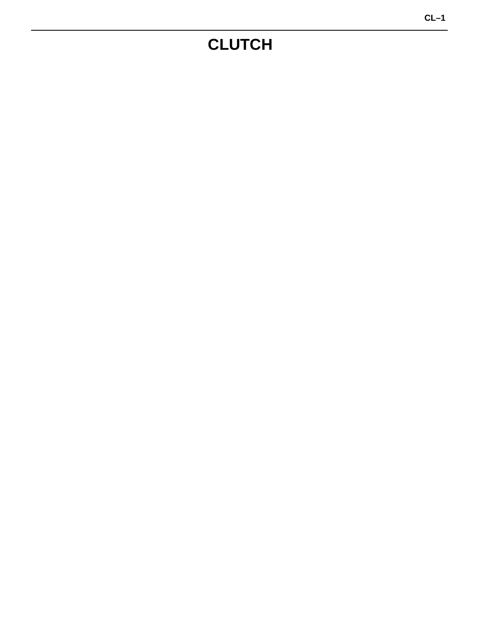# **CLUTCH**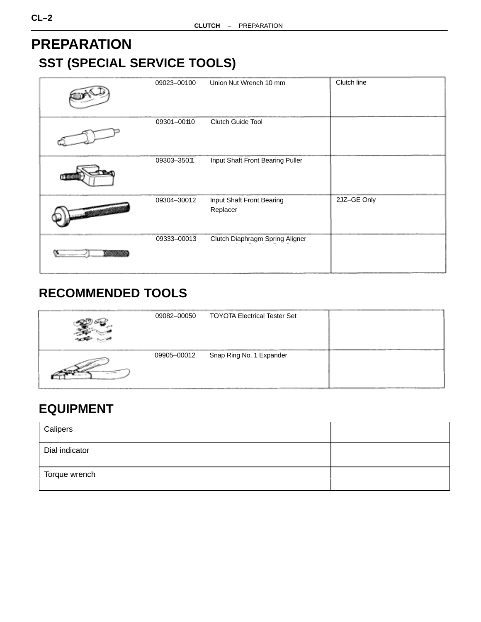## <span id="page-1-0"></span>**PREPARATION SST (SPECIAL SERVICE TOOLS)**

|                   | 09023-00100 | Union Nut Wrench 10 mm                | Clutch line |
|-------------------|-------------|---------------------------------------|-------------|
|                   | 09301-00110 | Clutch Guide Tool                     |             |
|                   | 09303-35011 | Input Shaft Front Bearing Puller      |             |
| <b>STATISTICS</b> | 09304-30012 | Input Shaft Front Bearing<br>Replacer | 2JZ-GE Only |
| <b>BANDAR</b>     | 09333-00013 | Clutch Diaphragm Spring Aligner       |             |

## **RECOMMENDED TOOLS**

| 09082-00050 | <b>TOYOTA Electrical Tester Set</b> |  |
|-------------|-------------------------------------|--|
| 09905-00012 | Snap Ring No. 1 Expander            |  |

## **EQUIPMENT**

| Calipers       |  |
|----------------|--|
| Dial indicator |  |
| Torque wrench  |  |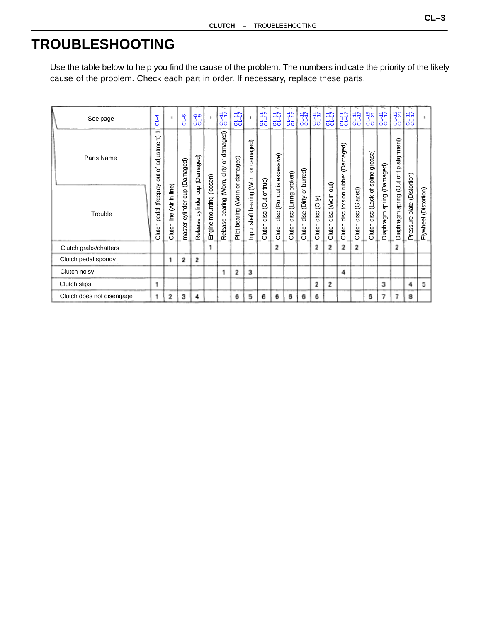## **TROUBLESHOOTING**

Use the table below to help you find the cause of the problem. The numbers indicate the priority of the likely cause of the problem. Check each part in order. If necessary, replace these parts.

| See page                  | $GL-4$                     |                              | $-6$                             |                        |                          | $C1 - 17$                       | $C1 - 17$                       |                             | $C1 - 17$                 | $C1 - 17$                 | $CL-17$                        | $rac{11}{11}$            | $C1 - 17$          | $CL - 17$                    | $C1 - 17$                     | $CL-17$                 | $CL-15$<br>$CL-21$           | $CL-17$                    | $CL-15$<br>$CL-20$           | $C1 - 17$                         |                          |
|---------------------------|----------------------------|------------------------------|----------------------------------|------------------------|--------------------------|---------------------------------|---------------------------------|-----------------------------|---------------------------|---------------------------|--------------------------------|--------------------------|--------------------|------------------------------|-------------------------------|-------------------------|------------------------------|----------------------------|------------------------------|-----------------------------------|--------------------------|
| Parts Name                | ÷<br>adjustment)<br>৳<br>ă |                              |                                  | cylinder cup (Damaged) |                          | or damaged)                     |                                 | damaged)                    |                           | excessive)                |                                | burred)                  |                    |                              | (Damaged)                     |                         | grease)<br>spline            |                            | alignment)                   |                                   |                          |
| Trouble                   | (freeplay)<br>Clutch pedal | (Air in line)<br>Clutch line | cylinder cup (Damaged)<br>master | Release                | Engine mounting (loosen) | bearing (Worn, dirty<br>Release | Pilot bearing (Worn or damaged) | nput shaft bearing (Worn or | Clutch disc (Out of true) | (Runout is<br>Clutch disc | disc (Lining broken)<br>Clutch | disc (Dirty or<br>Clutch | Clutch disc (Oily) | out)<br>disc (Worn<br>Clutch | disc torsion rubber<br>Clutch | Clutch disc (Glazed)    | ৳<br>(Lack<br>disc<br>Clutch | Diaphragm spring (Damaged) | Diaphragm spring (Out of tip | (Distortion)<br>plate<br>Pressure | (Distortion)<br>Flywheel |
| Clutch grabs/chatters     |                            |                              |                                  |                        |                          |                                 |                                 |                             |                           | 2                         |                                |                          | 2                  | 2                            | 2                             | $\overline{\mathbf{z}}$ |                              |                            | 2                            |                                   |                          |
| Clutch pedal spongy       |                            | 1                            | 2                                | 2                      |                          |                                 |                                 |                             |                           |                           |                                |                          |                    |                              |                               |                         |                              |                            |                              |                                   |                          |
| Clutch noisy              |                            |                              |                                  |                        |                          |                                 | 2                               | з                           |                           |                           |                                |                          |                    |                              | 4                             |                         |                              |                            |                              |                                   |                          |
| Clutch slips              | 1                          |                              |                                  |                        |                          |                                 |                                 |                             |                           |                           |                                |                          | 2                  | 2                            |                               |                         |                              | 3                          |                              | 4                                 | 5                        |
| Clutch does not disengage |                            | 2                            | з                                | 4                      |                          |                                 | 6                               | 5                           | 6                         | 6                         | 6                              | 6                        | 6                  |                              |                               |                         | 6                            | 7                          | 7                            | 8                                 |                          |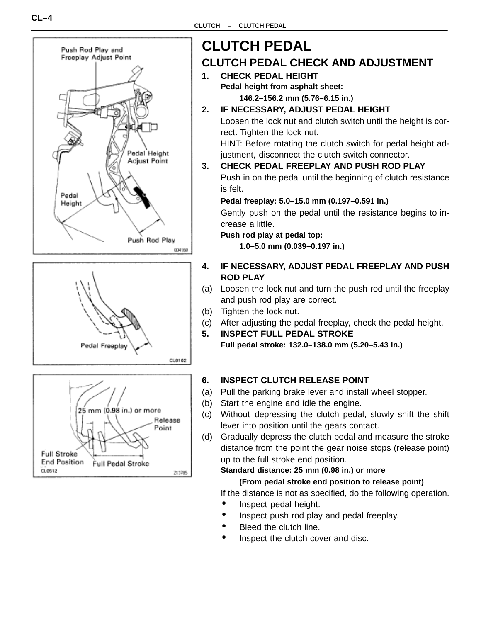





# **CLUTCH PEDAL**

## **CLUTCH PEDAL CHECK AND ADJUSTMENT**

- **1. CHECK PEDAL HEIGHT Pedal height from asphalt sheet: 146.2–156.2 mm (5.76–6.15 in.)**
- **2. IF NECESSARY, ADJUST PEDAL HEIGHT** Loosen the lock nut and clutch switch until the height is cor-

rect. Tighten the lock nut.

HINT: Before rotating the clutch switch for pedal height adjustment, disconnect the clutch switch connector.

**3. CHECK PEDAL FREEPLAY AND PUSH ROD PLAY**

Push in on the pedal until the beginning of clutch resistance is felt.

**Pedal freeplay: 5.0–15.0 mm (0.197–0.591 in.)**

Gently push on the pedal until the resistance begins to increase a little.

**Push rod play at pedal top:**

**1.0–5.0 mm (0.039–0.197 in.)**

- **4. IF NECESSARY, ADJUST PEDAL FREEPLAY AND PUSH ROD PLAY**
- (a) Loosen the lock nut and turn the push rod until the freeplay and push rod play are correct.
- (b) Tighten the lock nut.
- (c) After adjusting the pedal freeplay, check the pedal height.
- **5. INSPECT FULL PEDAL STROKE Full pedal stroke: 132.0–138.0 mm (5.20–5.43 in.)**

#### **6. INSPECT CLUTCH RELEASE POINT**

- (a) Pull the parking brake lever and install wheel stopper.
- (b) Start the engine and idle the engine.
- (c) Without depressing the clutch pedal, slowly shift the shift lever into position until the gears contact.
- (d) Gradually depress the clutch pedal and measure the stroke distance from the point the gear noise stops (release point) up to the full stroke end position.

#### **Standard distance: 25 mm (0.98 in.) or more**

#### **(From pedal stroke end position to release point)**

If the distance is not as specified, do the following operation.

- Inspect pedal height.
	- Inspect push rod play and pedal freeplay.
- Bleed the clutch line.
- Inspect the clutch cover and disc.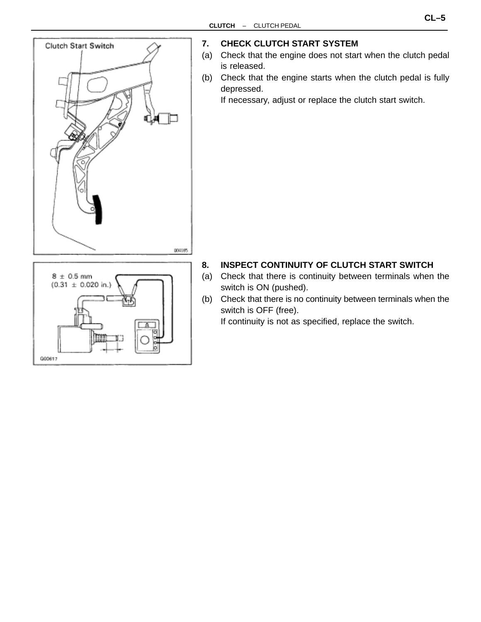

 $(0.31 \pm 0.020 \text{ in.})$ 

000617

#### **7. CHECK CLUTCH START SYSTEM**

- (a) Check that the engine does not start when the clutch pedal is released.
- (b) Check that the engine starts when the clutch pedal is fully depressed.

If necessary, adjust or replace the clutch start switch.

#### **8. INSPECT CONTINUITY OF CLUTCH START SWITCH**

- (a) Check that there is continuity between terminals when the switch is ON (pushed).
- (b) Check that there is no continuity between terminals when the switch is OFF (free).

If continuity is not as specified, replace the switch.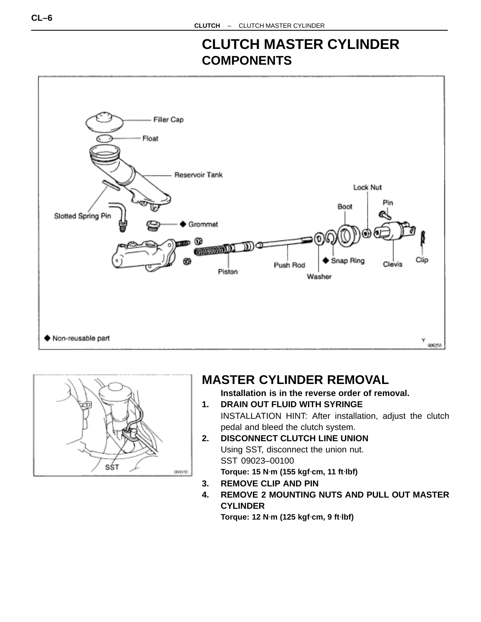## **CLUTCH MASTER CYLINDER COMPONENTS**





## **MASTER CYLINDER REMOVAL**

**Installation is in the reverse order of removal.**

- **1. DRAIN OUT FLUID WITH SYRINGE** INSTALLATION HINT: After installation, adjust the clutch pedal and bleed the clutch system.
- **2. DISCONNECT CLUTCH LINE UNION** Using SST, disconnect the union nut. SST 09023–00100 **Torque: 15 N**⋅**m (155 kgf**⋅**cm, 11 ft**⋅**lbf)**
- **3. REMOVE CLIP AND PIN**
- **4. REMOVE 2 MOUNTING NUTS AND PULL OUT MASTER CYLINDER**

**Torque: 12 N**⋅**m (125 kgf**⋅**cm, 9 ft**⋅**lbf)**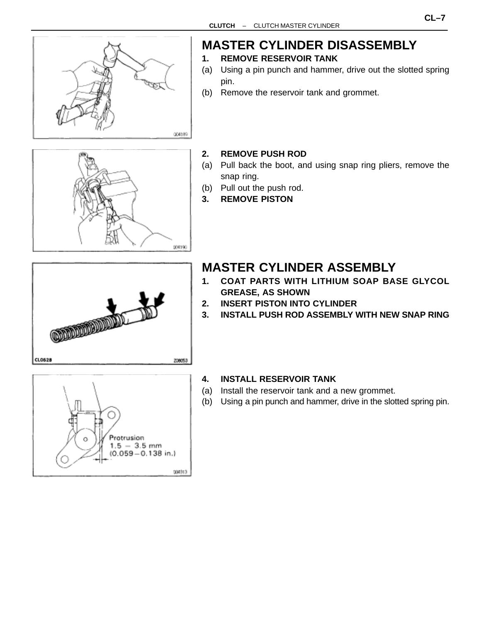

## **MASTER CYLINDER DISASSEMBLY**

- **1. REMOVE RESERVOIR TANK**
- (a) Using a pin punch and hammer, drive out the slotted spring pin.
- (b) Remove the reservoir tank and grommet.



#### **2. REMOVE PUSH ROD**

- (a) Pull back the boot, and using snap ring pliers, remove the snap ring.
- (b) Pull out the push rod.
- **3. REMOVE PISTON**

## **MASTER CYLINDER ASSEMBLY**

- **1. COAT PARTS WITH LITHIUM SOAP BASE GLYCOL GREASE, AS SHOWN**
- **2. INSERT PISTON INTO CYLINDER**
- **3. INSTALL PUSH ROD ASSEMBLY WITH NEW SNAP RING**



208053

**CONFIDENTIAL CONTROL** 

CL0528

#### **4. INSTALL RESERVOIR TANK**

- (a) Install the reservoir tank and a new grommet.
- (b) Using a pin punch and hammer, drive in the slotted spring pin.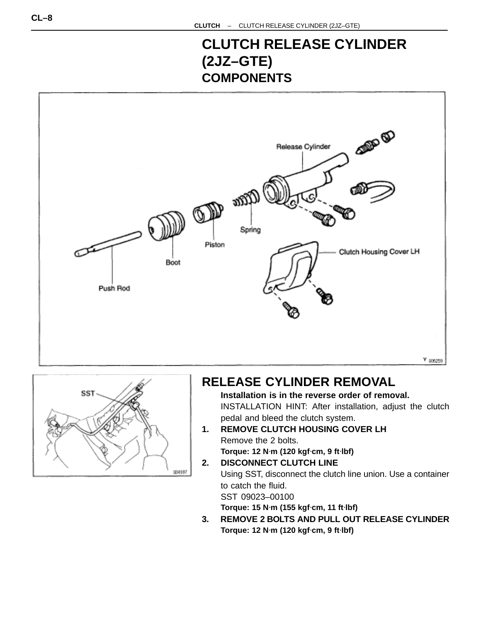## **CLUTCH RELEASE CYLINDER (2JZ–GTE) COMPONENTS**





## **RELEASE CYLINDER REMOVAL**

**Installation is in the reverse order of removal.** INSTALLATION HINT: After installation, adjust the clutch pedal and bleed the clutch system.

- **1. REMOVE CLUTCH HOUSING COVER LH** Remove the 2 bolts. **Torque: 12 N**⋅**m (120 kgf**⋅**cm, 9 ft**⋅**lbf)**
- **2. DISCONNECT CLUTCH LINE** Using SST, disconnect the clutch line union. Use a container to catch the fluid. SST 09023–00100

**Torque: 15 N**⋅**m (155 kgf**⋅**cm, 11 ft**⋅**lbf)**

**3. REMOVE 2 BOLTS AND PULL OUT RELEASE CYLINDER Torque: 12 N**⋅**m (120 kgf**⋅**cm, 9 ft**⋅**lbf)**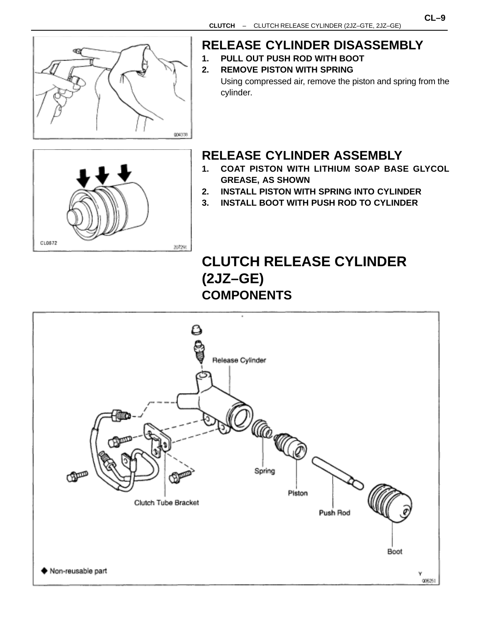

CL0572

## **RELEASE CYLINDER DISASSEMBLY**

- **1. PULL OUT PUSH ROD WITH BOOT**
- **2. REMOVE PISTON WITH SPRING** Using compressed air, remove the piston and spring from the cylinder.

## **RELEASE CYLINDER ASSEMBLY**

- **1. COAT PISTON WITH LITHIUM SOAP BASE GLYCOL GREASE, AS SHOWN**
- **2. INSTALL PISTON WITH SPRING INTO CYLINDER**
- **3. INSTALL BOOT WITH PUSH ROD TO CYLINDER**

## **CLUTCH RELEASE CYLINDER (2JZ–GE) COMPONENTS**



207291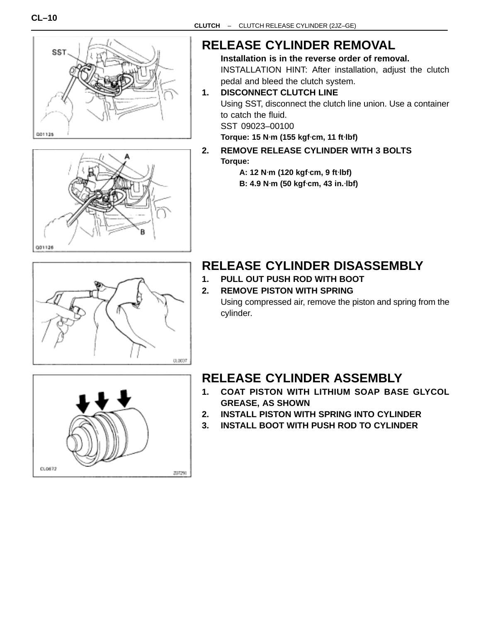



## **RELEASE CYLINDER REMOVAL**

**Installation is in the reverse order of removal.** INSTALLATION HINT: After installation, adjust the clutch pedal and bleed the clutch system.

**1. DISCONNECT CLUTCH LINE** Using SST, disconnect the clutch line union. Use a container to catch the fluid. SST 09023–00100

**Torque: 15 N**⋅**m (155 kgf**⋅**cm, 11 ft**⋅**lbf)**

#### **2. REMOVE RELEASE CYLINDER WITH 3 BOLTS Torque:**

**A: 12 N**⋅**m (120 kgf**⋅**cm, 9 ft**⋅**lbf) B: 4.9 N**⋅**m (50 kgf**⋅**cm, 43 in.**⋅**lbf)**



## **RELEASE CYLINDER DISASSEMBLY**

- **1. PULL OUT PUSH ROD WITH BOOT**
- **2. REMOVE PISTON WITH SPRING**

Using compressed air, remove the piston and spring from the cylinder.

## **RELEASE CYLINDER ASSEMBLY**

- **1. COAT PISTON WITH LITHIUM SOAP BASE GLYCOL GREASE, AS SHOWN**
- **2. INSTALL PISTON WITH SPRING INTO CYLINDER**
- **3. INSTALL BOOT WITH PUSH ROD TO CYLINDER**

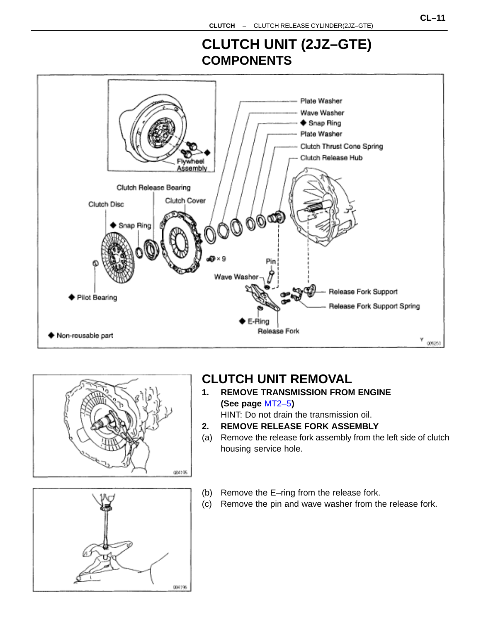## **CLUTCH UNIT (2JZ–GTE) COMPONENTS**





## **CLUTCH UNIT REMOVAL**

- **1. REMOVE TRANSMISSION FROM ENGINE (See page** [MT2–5](#page-1-0)**)** HINT: Do not drain the transmission oil.
- **2. REMOVE RELEASE FORK ASSEMBLY**
- (a) Remove the release fork assembly from the left side of clutch housing service hole.
- (b) Remove the E–ring from the release fork.
- (c) Remove the pin and wave washer from the release fork.

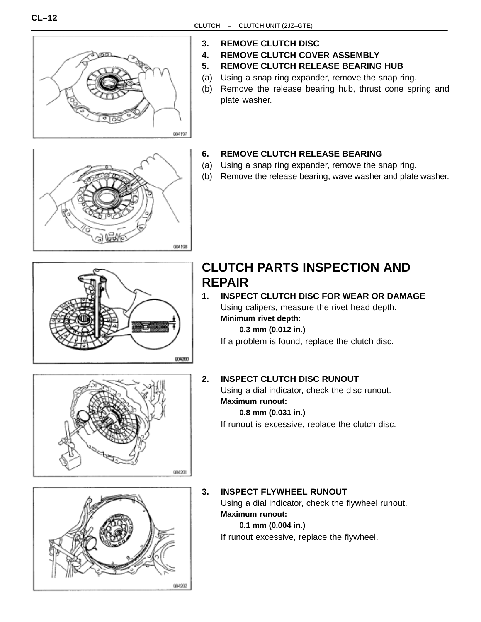

- **3. REMOVE CLUTCH DISC**
- **4. REMOVE CLUTCH COVER ASSEMBLY**
- **5. REMOVE CLUTCH RELEASE BEARING HUB**
- (a) Using a snap ring expander, remove the snap ring.
- (b) Remove the release bearing hub, thrust cone spring and plate washer.



#### **6. REMOVE CLUTCH RELEASE BEARING**

- (a) Using a snap ring expander, remove the snap ring.
- (b) Remove the release bearing, wave washer and plate washer.



## **CLUTCH PARTS INSPECTION AND REPAIR**

**1. INSPECT CLUTCH DISC FOR WEAR OR DAMAGE** Using calipers, measure the rivet head depth. **Minimum rivet depth:**

**0.3 mm (0.012 in.)**

If a problem is found, replace the clutch disc.



#### **2. INSPECT CLUTCH DISC RUNOUT**

Using a dial indicator, check the disc runout. **Maximum runout:**

#### **0.8 mm (0.031 in.)**

If runout is excessive, replace the clutch disc.



#### **3. INSPECT FLYWHEEL RUNOUT**

Using a dial indicator, check the flywheel runout. **Maximum runout:**

#### **0.1 mm (0.004 in.)**

If runout excessive, replace the flywheel.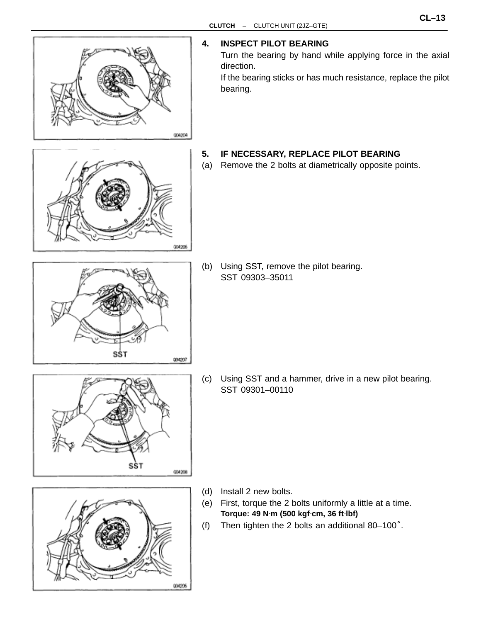

**4. INSPECT PILOT BEARING**

Turn the bearing by hand while applying force in the axial

If the bearing sticks or has much resistance, replace the pilot

- **5. IF NECESSARY, REPLACE PILOT BEARING**
- (a) Remove the 2 bolts at diametrically opposite points.

(b) Using SST, remove the pilot bearing. SST 09303–35011

(c) Using SST and a hammer, drive in a new pilot bearing. SST 09301–00110

- 000206
- (d) Install 2 new bolts.
- (e) First, torque the 2 bolts uniformly a little at a time. **Torque: 49 N**⋅**m (500 kgf**⋅**cm, 36 ft**⋅**lbf)**
- (f) Then tighten the 2 bolts an additional 80–100°.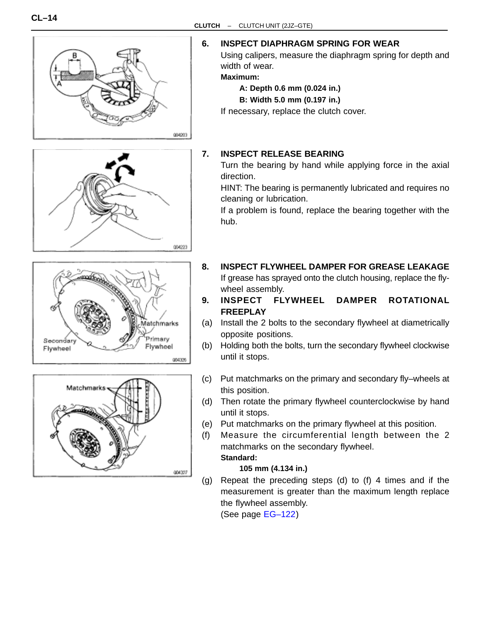

**6. INSPECT DIAPHRAGM SPRING FOR WEAR**

Using calipers, measure the diaphragm spring for depth and width of wear.

**Maximum:**

**A: Depth 0.6 mm (0.024 in.)**

**B: Width 5.0 mm (0.197 in.)**

If necessary, replace the clutch cover.

#### **7. INSPECT RELEASE BEARING**

Turn the bearing by hand while applying force in the axial direction.

HINT: The bearing is permanently lubricated and requires no cleaning or lubrication.

If a problem is found, replace the bearing together with the hub.

- **8. INSPECT FLYWHEEL DAMPER FOR GREASE LEAKAGE** If grease has sprayed onto the clutch housing, replace the flywheel assembly.
- **9. INSPECT FLYWHEEL DAMPER ROTATIONAL FREEPLAY**
- (a) Install the 2 bolts to the secondary flywheel at diametrically opposite positions.
- (b) Holding both the bolts, turn the secondary flywheel clockwise until it stops.
- (c) Put matchmarks on the primary and secondary fly–wheels at this position.
- (d) Then rotate the primary flywheel counterclockwise by hand until it stops.
- (e) Put matchmarks on the primary flywheel at this position.
- (f) Measure the circumferential length between the 2 matchmarks on the secondary flywheel. **Standard:**

#### **105 mm (4.134 in.)**

(g) Repeat the preceding steps (d) to (f) 4 times and if the measurement is greater than the maximum length replace the flywheel assembly.

(See page [EG–122\)](#page-50-0)





004326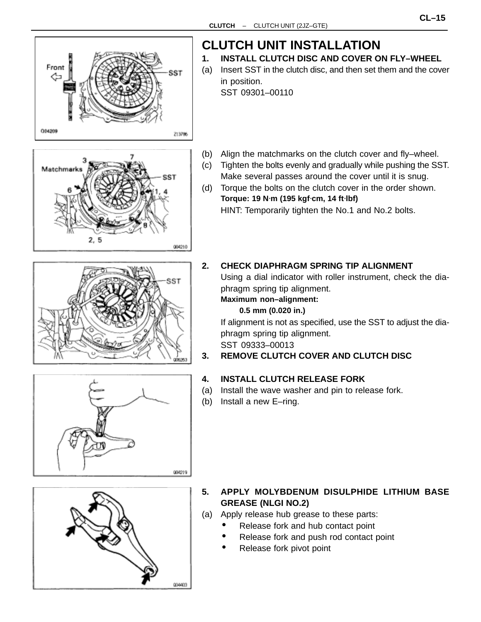







# **CLUTCH UNIT INSTALLATION**

- **1. INSTALL CLUTCH DISC AND COVER ON FLY–WHEEL**
- (a) Insert SST in the clutch disc, and then set them and the cover in position.

SST 09301–00110

- (b) Align the matchmarks on the clutch cover and fly–wheel.
- (c) Tighten the bolts evenly and gradually while pushing the SST. Make several passes around the cover until it is snug.
- (d) Torque the bolts on the clutch cover in the order shown. **Torque: 19 N**⋅**m (195 kgf**⋅**cm, 14 ft**⋅**lbf)** HINT: Temporarily tighten the No.1 and No.2 bolts.
- **2. CHECK DIAPHRAGM SPRING TIP ALIGNMENT**

Using a dial indicator with roller instrument, check the diaphragm spring tip alignment.

**Maximum non–alignment:**

#### **0.5 mm (0.020 in.)**

If alignment is not as specified, use the SST to adjust the diaphragm spring tip alignment. SST 09333–00013

#### **3. REMOVE CLUTCH COVER AND CLUTCH DISC**

#### **4. INSTALL CLUTCH RELEASE FORK**

- (a) Install the wave washer and pin to release fork.
- (b) Install a new E–ring.



- **5. APPLY MOLYBDENUM DISULPHIDE LITHIUM BASE GREASE (NLGI NO.2)**
- (a) Apply release hub grease to these parts:
	- Release fork and hub contact point
	- Release fork and push rod contact point
	- Release fork pivot point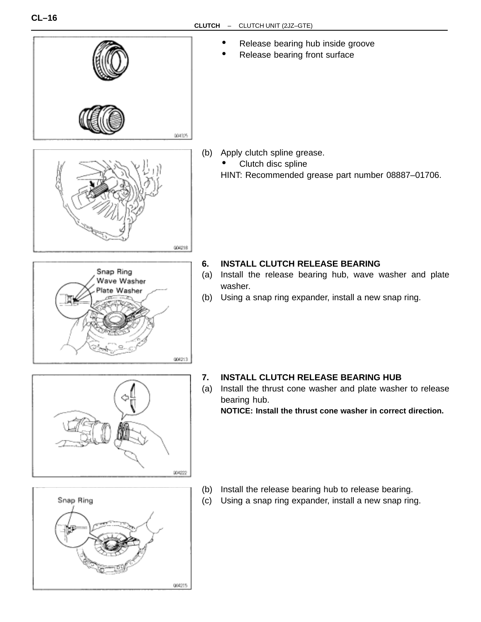



004213

# Snap Ring 004215

#### **7. INSTALL CLUTCH RELEASE BEARING HUB**

(a) Install the thrust cone washer and plate washer to release bearing hub.

**NOTICE: Install the thrust cone washer in correct direction.**

- (b) Install the release bearing hub to release bearing.
- (c) Using a snap ring expander, install a new snap ring.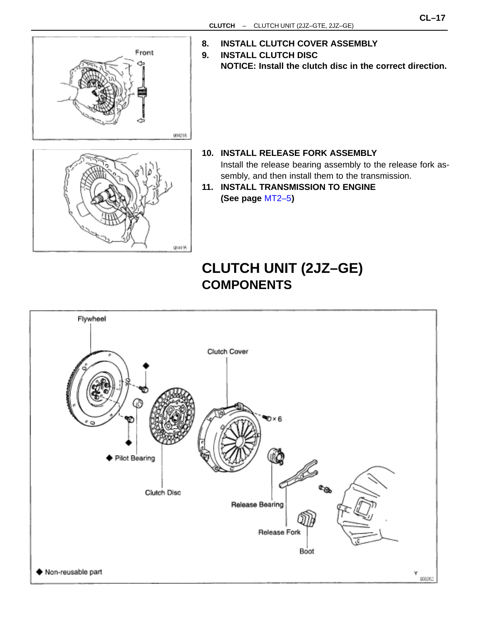

- **8. INSTALL CLUTCH COVER ASSEMBLY**
- **9. INSTALL CLUTCH DISC NOTICE: Install the clutch disc in the correct direction.**



- **10. INSTALL RELEASE FORK ASSEMBLY** Install the release bearing assembly to the release fork assembly, and then install them to the transmission.
- **11. INSTALL TRANSMISSION TO ENGINE (See page** [MT2–5](#page-1-0)**)**

## **CLUTCH UNIT (2JZ–GE) COMPONENTS**

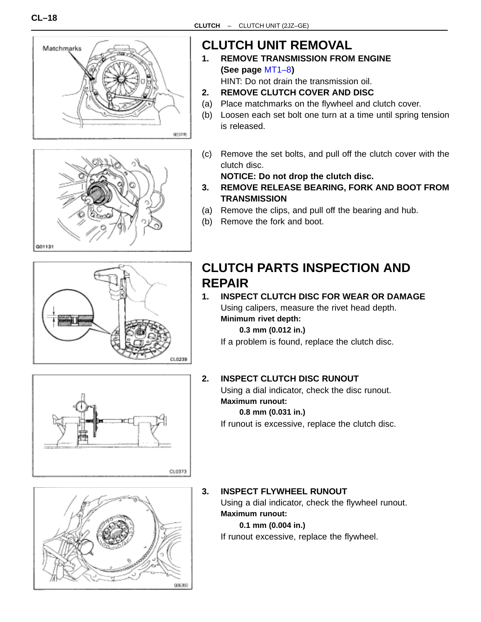



## **CLUTCH UNIT REMOVAL**

**1. REMOVE TRANSMISSION FROM ENGINE (See page** [MT1–8](#page-1-0)**)**

HINT: Do not drain the transmission oil.

- **2. REMOVE CLUTCH COVER AND DISC**
- (a) Place matchmarks on the flywheel and clutch cover.
- (b) Loosen each set bolt one turn at a time until spring tension is released.
- (c) Remove the set bolts, and pull off the clutch cover with the clutch disc.

**NOTICE: Do not drop the clutch disc.**

- **3. REMOVE RELEASE BEARING, FORK AND BOOT FROM TRANSMISSION**
- (a) Remove the clips, and pull off the bearing and hub.
- (b) Remove the fork and boot.

## **CLUTCH PARTS INSPECTION AND REPAIR**

#### **1. INSPECT CLUTCH DISC FOR WEAR OR DAMAGE** Using calipers, measure the rivet head depth. **Minimum rivet depth:**

**0.3 mm (0.012 in.)**

If a problem is found, replace the clutch disc.



CL0239

## **2. INSPECT CLUTCH DISC RUNOUT**

Using a dial indicator, check the disc runout. **Maximum runout:**

#### **0.8 mm (0.031 in.)**

If runout is excessive, replace the clutch disc.



### **3. INSPECT FLYWHEEL RUNOUT**

Using a dial indicator, check the flywheel runout. **Maximum runout:**

**0.1 mm (0.004 in.)**

If runout excessive, replace the flywheel.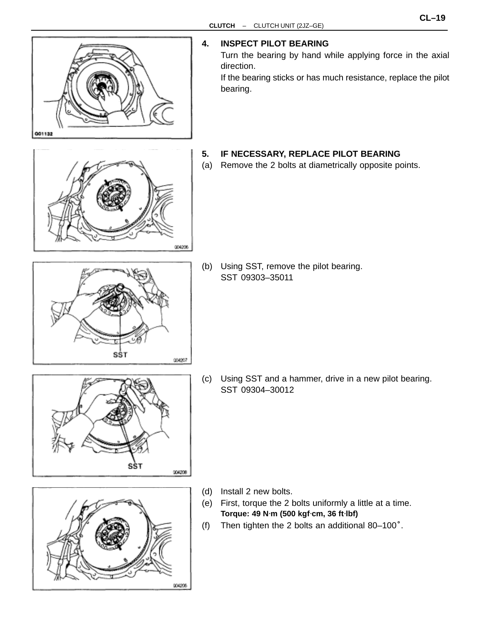

#### **4. INSPECT PILOT BEARING**

Turn the bearing by hand while applying force in the axial direction.

If the bearing sticks or has much resistance, replace the pilot bearing.

#### **5. IF NECESSARY, REPLACE PILOT BEARING**

(a) Remove the 2 bolts at diametrically opposite points.

(b) Using SST, remove the pilot bearing. SST 09303–35011

(c) Using SST and a hammer, drive in a new pilot bearing. SST 09304–30012

(d) Install 2 new bolts.

004206

- (e) First, torque the 2 bolts uniformly a little at a time. **Torque: 49 N**⋅**m (500 kgf**⋅**cm, 36 ft**⋅**lbf)**
- (f) Then tighten the 2 bolts an additional 80–100°.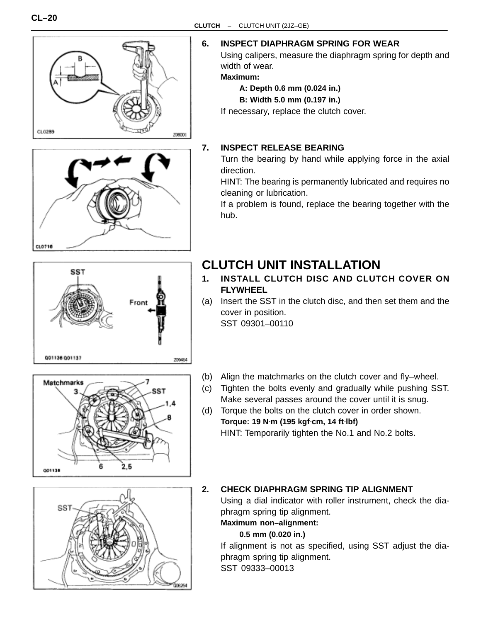



**SST** 

001136 001137

#### Using calipers, measure the diaphragm spring for depth and

width of wear. **Maximum:**

- **A: Depth 0.6 mm (0.024 in.)**
- **B: Width 5.0 mm (0.197 in.)**

If necessary, replace the clutch cover.

#### **7. INSPECT RELEASE BEARING**

Turn the bearing by hand while applying force in the axial direction.

HINT: The bearing is permanently lubricated and requires no cleaning or lubrication.

If a problem is found, replace the bearing together with the hub.

## **CLUTCH UNIT INSTALLATION**

- **1. INSTALL CLUTCH DISC AND CLUTCH COVER ON FLYWHEEL**
- (a) Insert the SST in the clutch disc, and then set them and the cover in position. SST 09301–00110
- Matchmarks SST  $2.5$ 001138

Front

209464

- (b) Align the matchmarks on the clutch cover and fly–wheel.
- (c) Tighten the bolts evenly and gradually while pushing SST. Make several passes around the cover until it is snug.
- (d) Torque the bolts on the clutch cover in order shown. **Torque: 19 N**⋅**m (195 kgf**⋅**cm, 14 ft**⋅**lbf)** HINT: Temporarily tighten the No.1 and No.2 bolts.



#### **2. CHECK DIAPHRAGM SPRING TIP ALIGNMENT**

Using a dial indicator with roller instrument, check the diaphragm spring tip alignment.

#### **Maximum non–alignment:**

#### **0.5 mm (0.020 in.)**

If alignment is not as specified, using SST adjust the diaphragm spring tip alignment. SST 09333–00013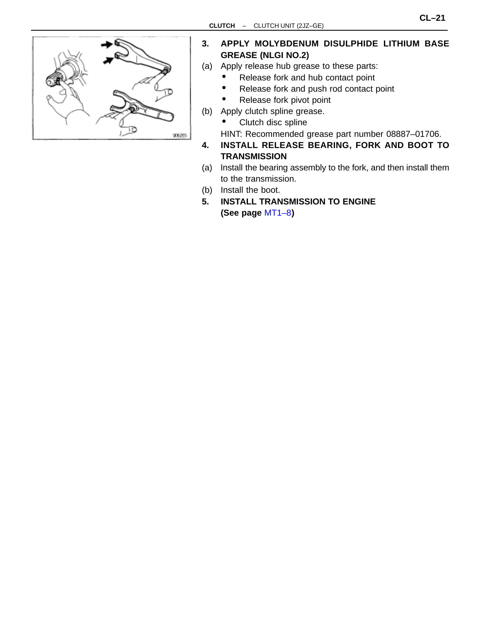

- **3. APPLY MOLYBDENUM DISULPHIDE LITHIUM BASE GREASE (NLGI NO.2)**
- (a) Apply release hub grease to these parts:
	- Release fork and hub contact point
	- Release fork and push rod contact point
	- Release fork pivot point
- (b) Apply clutch spline grease.
	- Clutch disc spline

HINT: Recommended grease part number 08887–01706.

- **4. INSTALL RELEASE BEARING, FORK AND BOOT TO TRANSMISSION**
- (a) Install the bearing assembly to the fork, and then install them to the transmission.
- (b) Install the boot.
- **5. INSTALL TRANSMISSION TO ENGINE (See page** [MT1–8](#page-1-0)**)**